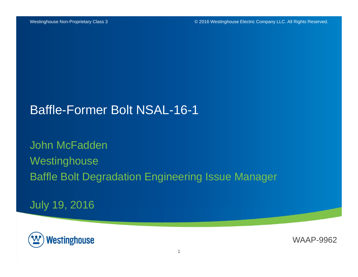#### Baffle-Former Bolt NSAL-16-1

John McFadden **Westinghouse** Baffle Bolt Degradation Engineering Issue Manager

July 19, 2016



WAAP-9962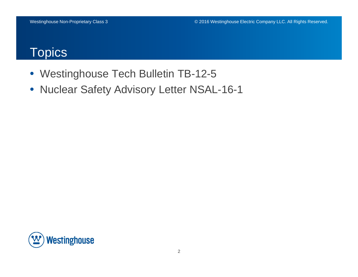#### **Topics**

- Westinghouse Tech Bulletin TB-12-5
- $\bullet$ Nuclear Safety Advisory Letter NSAL-16-1

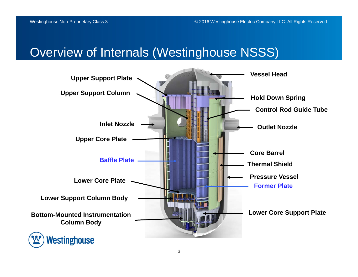### Overview of Internals (Westinghouse NSSS)

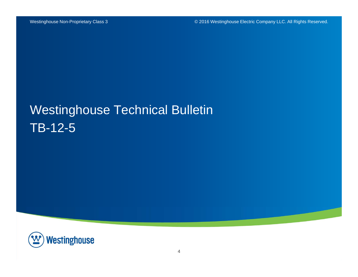# Westinghouse Technical Bulletin TB-12-5

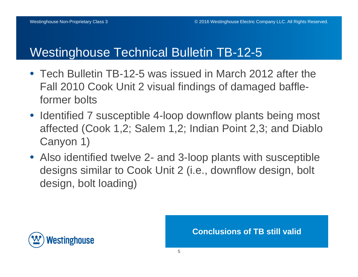### Westinghouse Technical Bulletin TB-12-5

- Tech Bulletin TB-12-5 was issued in March 2012 after the Fall 2010 Cook Unit 2 visual findings of damaged baffleformer bolts
- Identified 7 susceptible 4-loop downflow plants being most affected (Cook 1,2; Salem 1,2; Indian Point 2,3; and Diablo Canyon 1)
- Also identified twelve 2- and 3-loop plants with susceptible designs similar to Cook Unit 2 (i.e., downflow design, bolt design, bolt loading)



**Conclusions of TB still valid**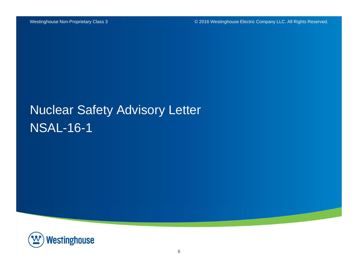# Nuclear Safety Advisory Letter NSAL-16-1

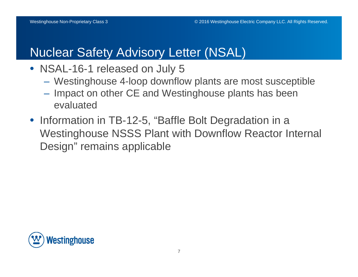### Nuclear Safety Advisory Letter (NSAL)

- NSAL-16-1 released on July 5
	- Westinghouse 4-loop downflow plants are most susceptible
	- $-$  Impact on other CE and Westinghouse plants has been evaluated
- Information in TB-12-5, "Baffle Bolt Degradation in a Westinghouse NSSS Plant with Downflow Reactor Internal Design" remains applicable

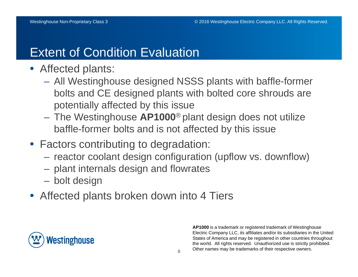## Extent of Condition Evaluation

- Affected plants:
	- All Westinghouse designed NSSS plants with baffle-former bolts and CE designed plants with bolted core shrouds are potentially affected by this issue
	- The Westinghouse **AP1000**® plant design does not utilize baffle-former bolts and is not affected by this issue
- Factors contributing to degradation:
	- $-$  reactor coolant design configuration (upflow vs. downflow)
	- plant internals design and flowrates
	- –bolt design
- Affected plants broken down into 4 Tiers



**AP1000** is a trademark or registered trademark of Westinghouse Electric Company LLC, its affiliates and/or its subsidiaries in the United States of America and may be registered in other countries throughout the world. All rights reserved. Unauthorized use is strictly prohibited. Other names may be trademarks of their respective owners.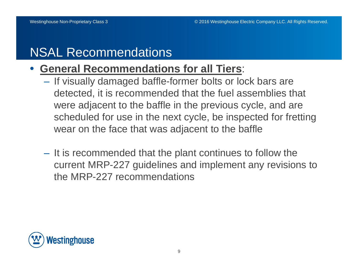## NSAL Recommendations

#### •**General Recommendations for all Tiers**:

- If visually damaged baffle-former bolts or lock bars are detected, it is recommended that the fuel assemblies that were adjacent to the baffle in the previous cycle, and are scheduled for use in the next cycle, be inspected for fretting wear on the face that was adjacent to the baffle
- It is recommended that the plant continues to follow the current MRP-227 guidelines and implement any revisions to the MRP-227 recommendations

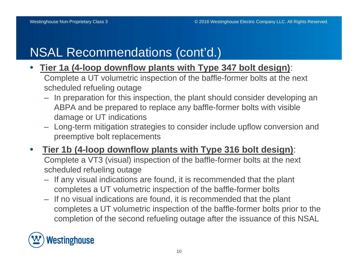## NSAL Recommendations (cont'd.)

- • **Tier 1a (4-loop downflow plants with Type 347 bolt design)**: Complete a UT volumetric inspection of the baffle-former bolts at the next scheduled refueling outage
	- In preparation for this inspection, the plant should consider developing an ABPA and be prepared to replace any baffle-former bolts with visible damage or UT indications
	- Long-term mitigation strategies to consider include upflow conversion and preemptive bolt replacements
- $\bullet$  **Tier 1b (4-loop downflow plants with Type 316 bolt design)**: Complete a VT3 (visual) inspection of the baffle-former bolts at the next scheduled refueling outage
	- If any visual indications are found, it is recommended that the plant completes a UT volumetric inspection of the baffle-former bolts
	- If no visual indications are found, it is recommended that the plant completes a UT volumetric inspection of the baffle-former bolts prior to the completion of the second refueling outage after the issuance of this NSAL